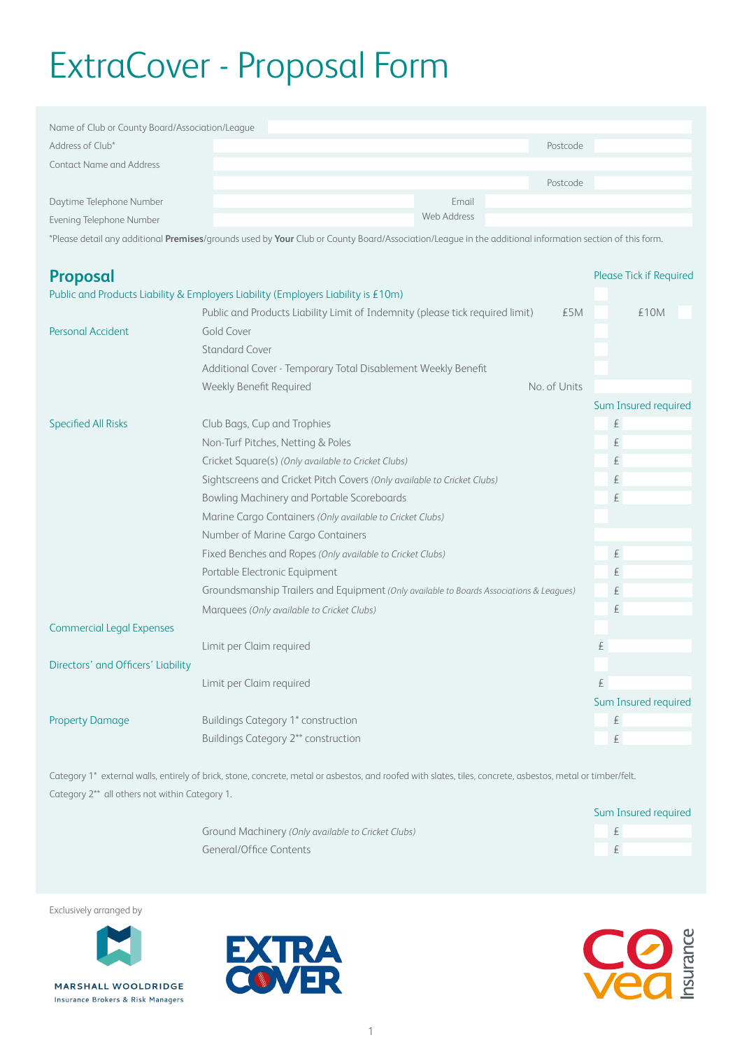# ExtraCover - Proposal Form

| Name of Club or County Board/Association/League |  |             |          |
|-------------------------------------------------|--|-------------|----------|
| Address of Club*                                |  |             | Postcode |
| <b>Contact Name and Address</b>                 |  |             |          |
|                                                 |  |             | Postcode |
| Daytime Telephone Number                        |  | Email       |          |
| Evening Telephone Number                        |  | Web Address |          |

\*Please detail any additional **Premises**/grounds used by **Your** Club or County Board/Association/League in the additional information section of this form.

| Proposal                           |                                                                                         | Please Tick if Required |
|------------------------------------|-----------------------------------------------------------------------------------------|-------------------------|
|                                    | Public and Products Liability & Employers Liability (Employers Liability is £10m)       |                         |
|                                    | Public and Products Liability Limit of Indemnity (please tick required limit)<br>£5M    | £10M                    |
| Personal Accident                  | Gold Cover                                                                              |                         |
|                                    | <b>Standard Cover</b>                                                                   |                         |
|                                    | Additional Cover - Temporary Total Disablement Weekly Benefit                           |                         |
|                                    | Weekly Benefit Required<br>No. of Units                                                 |                         |
|                                    |                                                                                         | Sum Insured required    |
| <b>Specified All Risks</b>         | Club Bags, Cup and Trophies                                                             | £                       |
|                                    | Non-Turf Pitches, Netting & Poles                                                       | £                       |
|                                    | Cricket Square(s) (Only available to Cricket Clubs)                                     | $\mathbf{f}$            |
|                                    | Sightscreens and Cricket Pitch Covers (Only available to Cricket Clubs)                 | £                       |
|                                    | Bowling Machinery and Portable Scoreboards                                              | £                       |
|                                    | Marine Cargo Containers (Only available to Cricket Clubs)                               |                         |
|                                    | Number of Marine Cargo Containers                                                       |                         |
|                                    | Fixed Benches and Ropes (Only available to Cricket Clubs)                               | $\pounds$               |
|                                    | Portable Electronic Equipment                                                           | £                       |
|                                    | Groundsmanship Trailers and Equipment (Only available to Boards Associations & Leagues) | $\mathbf{f}$            |
|                                    | Marquees (Only available to Cricket Clubs)                                              | £                       |
| <b>Commercial Legal Expenses</b>   |                                                                                         |                         |
|                                    | Limit per Claim required                                                                | £                       |
| Directors' and Officers' Liability |                                                                                         |                         |
|                                    | Limit per Claim required                                                                | £                       |
|                                    |                                                                                         | Sum Insured required    |
| <b>Property Damage</b>             | <b>Buildings Category 1* construction</b>                                               | £                       |
|                                    | <b>Buildings Category 2** construction</b>                                              | £                       |

Category 1\* external walls, entirely of brick, stone, concrete, metal or asbestos, and roofed with slates, tiles, concrete, asbestos, metal or timber/felt. Category 2\*\* all others not within Category 1.

|                                                    | Sum Insured required |
|----------------------------------------------------|----------------------|
| Ground Machinery (Only available to Cricket Clubs) |                      |
| General/Office Contents                            |                      |

Exclusively arranged by



MARSHALL WOOLDRIDGE Insurance Brokers & Risk Managers



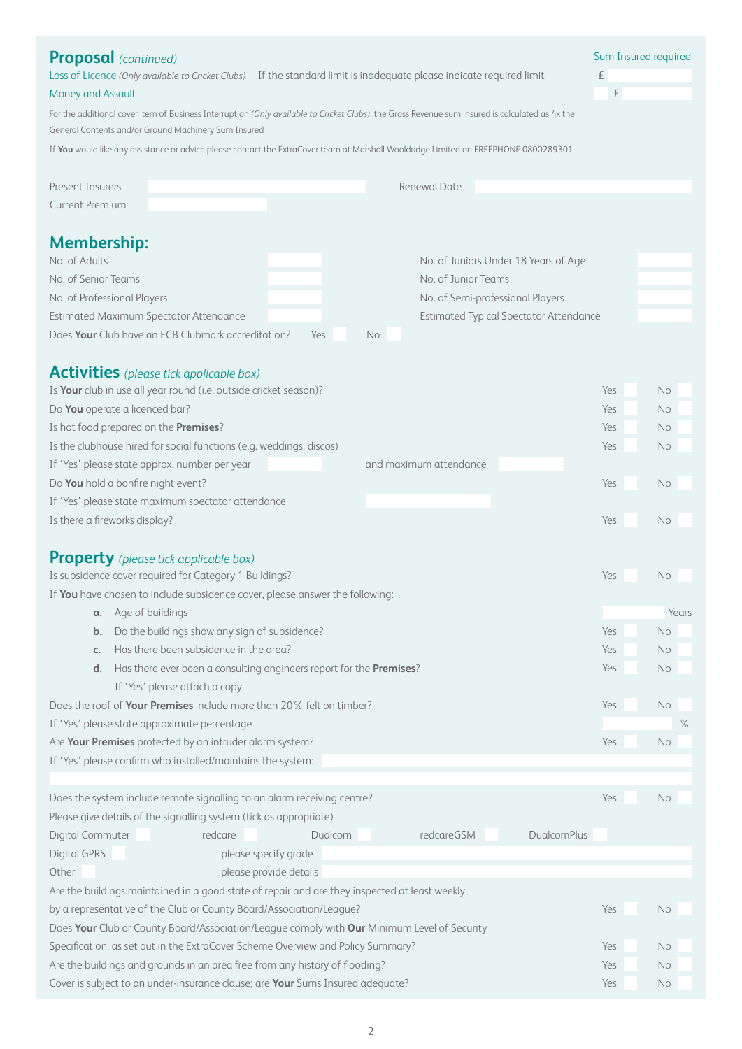| <b>Proposal</b> (continued)<br>Loss of Licence (Only available to Cricket Clubs) If the standard limit is inadequate please indicate required limit |                                               | £          | Sum Insured required |
|-----------------------------------------------------------------------------------------------------------------------------------------------------|-----------------------------------------------|------------|----------------------|
| <b>Money and Assault</b>                                                                                                                            |                                               |            |                      |
| For the additional cover item of Business Interruption (Only available to Cricket Clubs), the Gross Revenue sum insured is calculated as 4x the     |                                               | $\pounds$  |                      |
| General Contents and/or Ground Machinery Sum Insured                                                                                                |                                               |            |                      |
| If You would like any assistance or advice please contact the ExtraCover team at Marshall Wooldridge Limited on FREEPHONE 0800289301                |                                               |            |                      |
|                                                                                                                                                     |                                               |            |                      |
| Present Insurers                                                                                                                                    | <b>Renewal Date</b>                           |            |                      |
| <b>Current Premium</b>                                                                                                                              |                                               |            |                      |
|                                                                                                                                                     |                                               |            |                      |
| <b>Membership:</b>                                                                                                                                  |                                               |            |                      |
| No. of Adults                                                                                                                                       | No. of Juniors Under 18 Years of Age          |            |                      |
| No. of Senior Teams                                                                                                                                 | No. of Junior Teams                           |            |                      |
| No. of Professional Players                                                                                                                         | No. of Semi-professional Players              |            |                      |
| Estimated Maximum Spectator Attendance                                                                                                              | <b>Estimated Typical Spectator Attendance</b> |            |                      |
| Does Your Club have an ECB Clubmark accreditation?<br>Yes                                                                                           | <b>No</b>                                     |            |                      |
|                                                                                                                                                     |                                               |            |                      |
| <b>Activities</b> (please tick applicable box)                                                                                                      |                                               |            |                      |
| Is Your club in use all year round (i.e. outside cricket season)?                                                                                   |                                               | Yes        | <b>No</b>            |
| Do You operate a licenced bar?                                                                                                                      |                                               | Yes        | <b>No</b>            |
| Is hot food prepared on the Premises?                                                                                                               |                                               | Yes        | <b>No</b>            |
| Is the clubhouse hired for social functions (e.g. weddings, discos)                                                                                 |                                               | Yes        | No                   |
| If 'Yes' please state approx. number per year                                                                                                       | and maximum attendance                        |            |                      |
| Do You hold a bonfire night event?                                                                                                                  |                                               | Yes        | No                   |
| If 'Yes' please state maximum spectator attendance                                                                                                  |                                               |            |                      |
| Is there a fireworks display?                                                                                                                       |                                               | Yes        | No                   |
|                                                                                                                                                     |                                               |            |                      |
| <b>Property</b> (please tick applicable box)                                                                                                        |                                               |            |                      |
| Is subsidence cover required for Category 1 Buildings?                                                                                              |                                               | Yes        | No                   |
| If You have chosen to include subsidence cover, please answer the following:<br>Age of buildings                                                    |                                               |            | Years                |
| α.<br>Do the buildings show any sign of subsidence?<br>b.                                                                                           |                                               | <b>Yes</b> | No                   |
| Has there been subsidence in the area?<br>C.                                                                                                        |                                               | Yes        | <b>No</b>            |
| Has there ever been a consulting engineers report for the Premises?<br>d.                                                                           |                                               | Yes        | <b>No</b>            |
| If 'Yes' please attach a copy                                                                                                                       |                                               |            |                      |
| Does the roof of Your Premises include more than 20% felt on timber?                                                                                |                                               | Yes        | No                   |
| If 'Yes' please state approximate percentage                                                                                                        |                                               |            | $\%$                 |
| Are Your Premises protected by an intruder alarm system?                                                                                            |                                               | Yes        | No                   |
| If 'Yes' please confirm who installed/maintains the system:                                                                                         |                                               |            |                      |
|                                                                                                                                                     |                                               |            |                      |
| Does the system include remote signalling to an alarm receiving centre?                                                                             |                                               | Yes        | No                   |
| Please give details of the signalling system (tick as appropriate)                                                                                  |                                               |            |                      |
| Digital Commuter<br>redcare<br>Dualcom                                                                                                              | redcareGSM<br><b>DualcomPlus</b>              |            |                      |
| <b>Digital GPRS</b><br>please specify grade                                                                                                         |                                               |            |                      |
| Other<br>please provide details                                                                                                                     |                                               |            |                      |
| Are the buildings maintained in a good state of repair and are they inspected at least weekly                                                       |                                               |            |                      |
| by a representative of the Club or County Board/Association/League?                                                                                 |                                               |            | No                   |
| Does Your Club or County Board/Association/League comply with Our Minimum Level of Security                                                         |                                               |            |                      |
| Specification, as set out in the ExtraCover Scheme Overview and Policy Summary?                                                                     |                                               |            | No                   |
| Are the buildings and grounds in an area free from any history of flooding?                                                                         |                                               | Yes        | No                   |
| Cover is subject to an under-insurance clause; are Your Sums Insured adequate?                                                                      |                                               | Yes        | No                   |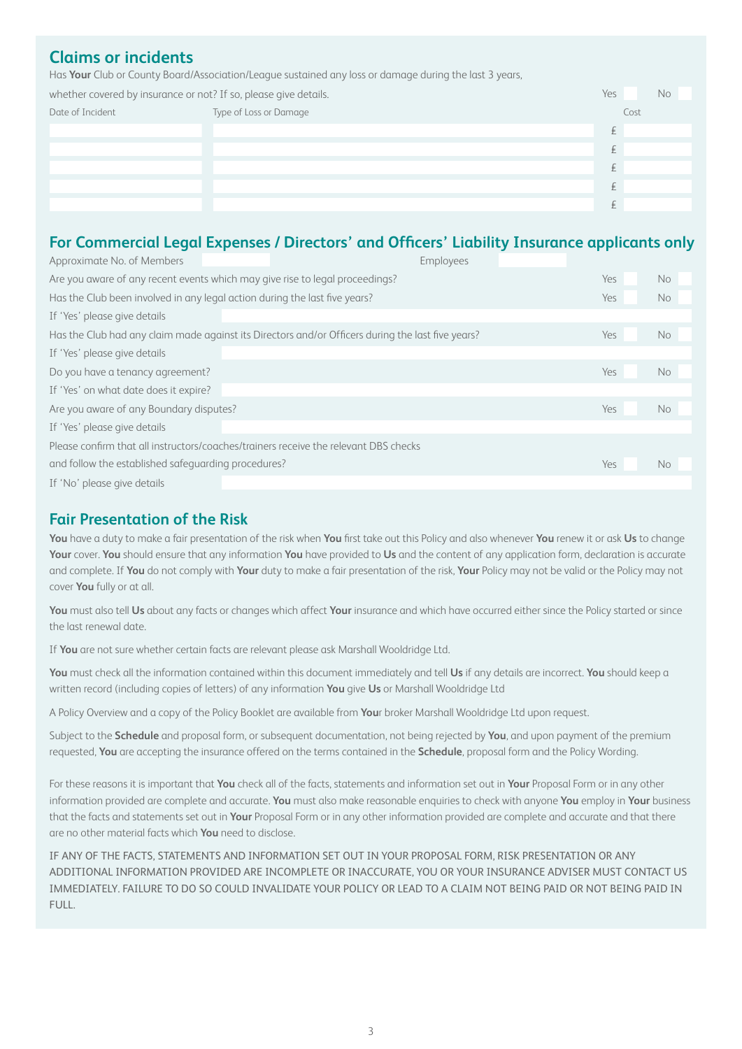# **Claims or incidents**

Has **Your** Club or County Board/Association/League sustained any loss or damage during the last 3 years,

| whether covered by insurance or not? If so, please give details. |                        | Yes | No   |
|------------------------------------------------------------------|------------------------|-----|------|
| Date of Incident                                                 | Type of Loss or Damage |     | Cost |
|                                                                  |                        |     |      |
|                                                                  |                        |     |      |
|                                                                  |                        |     |      |
|                                                                  |                        |     |      |
|                                                                  |                        |     |      |

#### **For Commercial Legal Expenses / Directors' and Officers' Liability Insurance applicants only**

| Approximate No. of Members                                                 | Employees                                                                                         |     |     |
|----------------------------------------------------------------------------|---------------------------------------------------------------------------------------------------|-----|-----|
|                                                                            | Are you aware of any recent events which may give rise to legal proceedings?                      | Yes | No. |
| Has the Club been involved in any legal action during the last five years? |                                                                                                   | Yes | No  |
| If 'Yes' please give details                                               |                                                                                                   |     |     |
|                                                                            | Has the Club had any claim made against its Directors and/or Officers during the last five years? | Yes | No  |
| If 'Yes' please give details                                               |                                                                                                   |     |     |
| Do you have a tenancy agreement?                                           |                                                                                                   | Yes | No  |
| If 'Yes' on what date does it expire?                                      |                                                                                                   |     |     |
| Are you aware of any Boundary disputes?                                    |                                                                                                   | Yes | No  |
| If 'Yes' please give details                                               |                                                                                                   |     |     |
|                                                                            | Please confirm that all instructors/coaches/trainers receive the relevant DBS checks              |     |     |
| and follow the established safeguarding procedures?                        |                                                                                                   | Yes | No  |
| If 'No' please give details                                                |                                                                                                   |     |     |

# **Fair Presentation of the Risk**

**You** have a duty to make a fair presentation of the risk when **You** first take out this Policy and also whenever **You** renew it or ask **Us** to change **Your** cover. **You** should ensure that any information **You** have provided to **Us** and the content of any application form, declaration is accurate and complete. If **You** do not comply with **Your** duty to make a fair presentation of the risk, **Your** Policy may not be valid or the Policy may not cover **You** fully or at all.

**You** must also tell **Us** about any facts or changes which affect **Your** insurance and which have occurred either since the Policy started or since the last renewal date.

If **You** are not sure whether certain facts are relevant please ask Marshall Wooldridge Ltd.

**You** must check all the information contained within this document immediately and tell **Us** if any details are incorrect. **You** should keep a written record (including copies of letters) of any information **You** give **Us** or Marshall Wooldridge Ltd

A Policy Overview and a copy of the Policy Booklet are available from **You**r broker Marshall Wooldridge Ltd upon request.

Subject to the **Schedule** and proposal form, or subsequent documentation, not being rejected by **You**, and upon payment of the premium requested, **You** are accepting the insurance offered on the terms contained in the **Schedule**, proposal form and the Policy Wording.

For these reasons it is important that **You** check all of the facts, statements and information set out in **Your** Proposal Form or in any other information provided are complete and accurate. **You** must also make reasonable enquiries to check with anyone **You** employ in **Your** business that the facts and statements set out in **Your** Proposal Form or in any other information provided are complete and accurate and that there are no other material facts which **You** need to disclose.

IF ANY OF THE FACTS, STATEMENTS AND INFORMATION SET OUT IN YOUR PROPOSAL FORM, RISK PRESENTATION OR ANY ADDITIONAL INFORMATION PROVIDED ARE INCOMPLETE OR INACCURATE, YOU OR YOUR INSURANCE ADVISER MUST CONTACT US IMMEDIATELY. FAILURE TO DO SO COULD INVALIDATE YOUR POLICY OR LEAD TO A CLAIM NOT BEING PAID OR NOT BEING PAID IN FULL.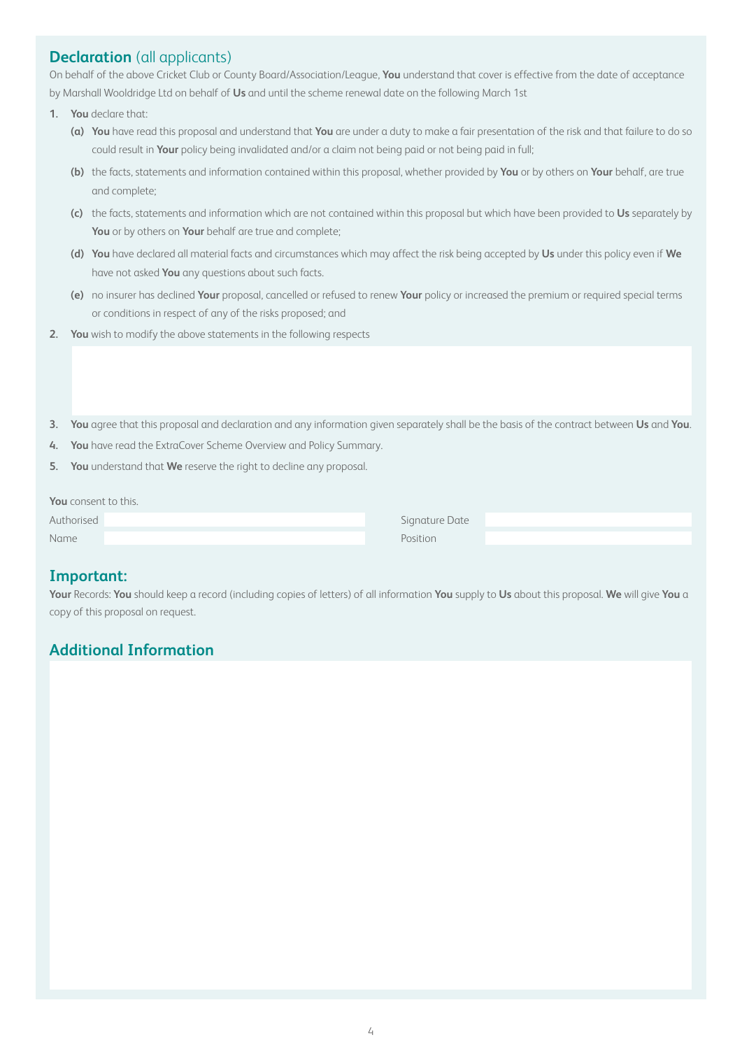## **Declaration** (all applicants)

On behalf of the above Cricket Club or County Board/Association/League, **You** understand that cover is effective from the date of acceptance by Marshall Wooldridge Ltd on behalf of **Us** and until the scheme renewal date on the following March 1st

- **1. You** declare that:
	- **(a) You** have read this proposal and understand that **You** are under a duty to make a fair presentation of the risk and that failure to do so could result in **Your** policy being invalidated and/or a claim not being paid or not being paid in full;
	- **(b)** the facts, statements and information contained within this proposal, whether provided by **You** or by others on **Your** behalf, are true and complete;
	- **(c)** the facts, statements and information which are not contained within this proposal but which have been provided to **Us** separately by **You** or by others on **Your** behalf are true and complete;
	- **(d) You** have declared all material facts and circumstances which may affect the risk being accepted by **Us** under this policy even if **We** have not asked **You** any questions about such facts.
	- **(e)** no insurer has declined **Your** proposal, cancelled or refused to renew **Your** policy or increased the premium or required special terms or conditions in respect of any of the risks proposed; and
- **2. You** wish to modify the above statements in the following respects
- **3. You** agree that this proposal and declaration and any information given separately shall be the basis of the contract between **Us** and **You**.
- **4. You** have read the ExtraCover Scheme Overview and Policy Summary.
- **5. You** understand that **We** reserve the right to decline any proposal.

|  | <b>You</b> consent to this. |  |  |
|--|-----------------------------|--|--|
|--|-----------------------------|--|--|

| Authorised | Signature Date |
|------------|----------------|
| Name       | Position       |

## **Important:**

**Your** Records: **You** should keep a record (including copies of letters) of all information **You** supply to **Us** about this proposal. **We** will give **You** a copy of this proposal on request.

# **Additional Information**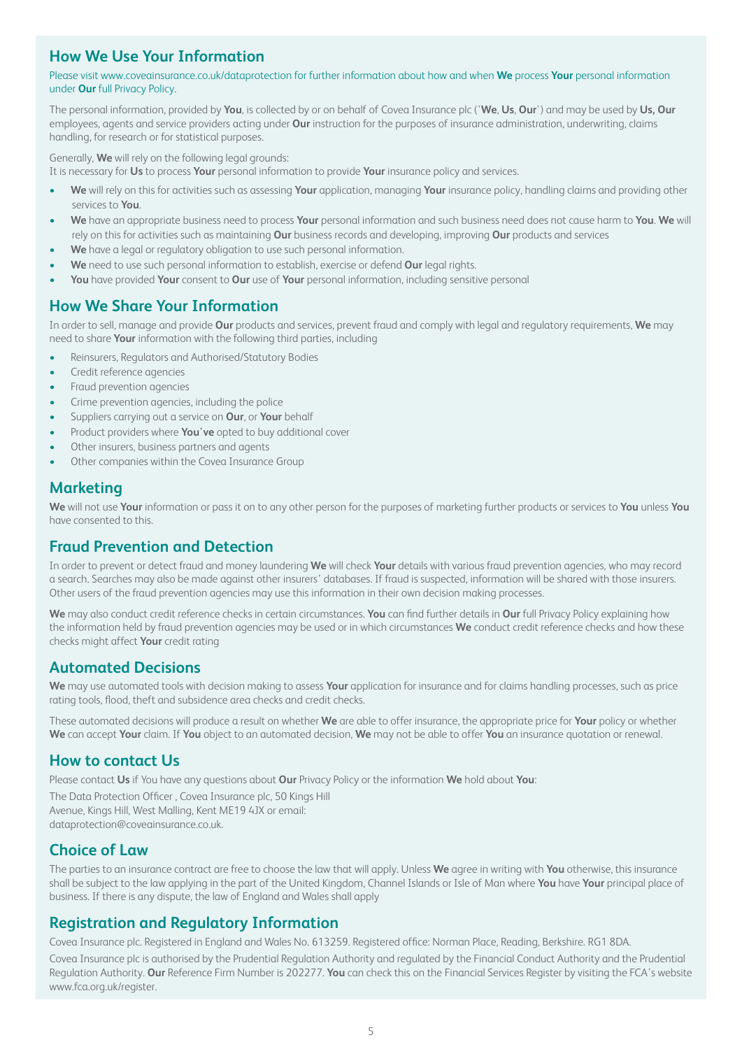#### **How We Use Your Information**

#### Please visit www.coveainsurance.co.uk/dataprotection for further information about how and when **We** process **Your** personal information under **Our** full Privacy Policy.

The personal information, provided by **You**, is collected by or on behalf of Covea Insurance plc ('**We**, **Us**, **Our**') and may be used by **Us, Our**  employees, agents and service providers acting under **Our** instruction for the purposes of insurance administration, underwriting, claims handling, for research or for statistical purposes.

Generally, **We** will rely on the following legal grounds:

It is necessary for **Us** to process **Your** personal information to provide **Your** insurance policy and services.

- **• We** will rely on this for activities such as assessing **Your** application, managing **Your** insurance policy, handling claims and providing other services to **You**.
- **• We** have an appropriate business need to process **Your** personal information and such business need does not cause harm to **You**. **We** will rely on this for activities such as maintaining **Our** business records and developing, improving **Our** products and services
- **• We** have a legal or regulatory obligation to use such personal information.
- **• We** need to use such personal information to establish, exercise or defend **Our** legal rights.
- **• You** have provided **Your** consent to **Our** use of **Your** personal information, including sensitive personal

## **How We Share Your Information**

In order to sell, manage and provide **Our** products and services, prevent fraud and comply with legal and regulatory requirements, **We** may need to share **Your** information with the following third parties, including

- Reinsurers, Regulators and Authorised/Statutory Bodies
- Credit reference agencies
- Fraud prevention agencies
- Crime prevention agencies, including the police
- Suppliers carrying out a service on **Our**, or **Your** behalf
- Product providers where **You've** opted to buy additional cover
- Other insurers, business partners and agents
- Other companies within the Covea Insurance Group

#### **Marketing**

**We** will not use **Your** information or pass it on to any other person for the purposes of marketing further products or services to **You** unless **You** have consented to this.

#### **Fraud Prevention and Detection**

In order to prevent or detect fraud and money laundering **We** will check **Your** details with various fraud prevention agencies, who may record a search. Searches may also be made against other insurers' databases. If fraud is suspected, information will be shared with those insurers. Other users of the fraud prevention agencies may use this information in their own decision making processes.

**We** may also conduct credit reference checks in certain circumstances. **You** can find further details in **Our** full Privacy Policy explaining how the information held by fraud prevention agencies may be used or in which circumstances **We** conduct credit reference checks and how these checks might affect **Your** credit rating

#### **Automated Decisions**

**We** may use automated tools with decision making to assess **Your** application for insurance and for claims handling processes, such as price rating tools, flood, theft and subsidence area checks and credit checks.

These automated decisions will produce a result on whether **We** are able to offer insurance, the appropriate price for **Your** policy or whether **We** can accept **Your** claim. If **You** object to an automated decision, **We** may not be able to offer **You** an insurance quotation or renewal.

#### **How to contact Us**

Please contact **Us** if You have any questions about **Our** Privacy Policy or the information **We** hold about **You**:

The Data Protection Officer , Covea Insurance plc, 50 Kings Hill Avenue, Kings Hill, West Malling, Kent ME19 4JX or email: dataprotection@coveainsurance.co.uk.

#### **Choice of Law**

The parties to an insurance contract are free to choose the law that will apply. Unless **We** agree in writing with **You** otherwise, this insurance shall be subject to the law applying in the part of the United Kingdom, Channel Islands or Isle of Man where **You** have **Your** principal place of business. If there is any dispute, the law of England and Wales shall apply

#### **Registration and Regulatory Information**

Covea Insurance plc. Registered in England and Wales No. 613259. Registered office: Norman Place, Reading, Berkshire. RG1 8DA.

Covea Insurance plc is authorised by the Prudential Regulation Authority and regulated by the Financial Conduct Authority and the Prudential Regulation Authority. **Our** Reference Firm Number is 202277. **You** can check this on the Financial Services Register by visiting the FCA's website www.fca.org.uk/register.